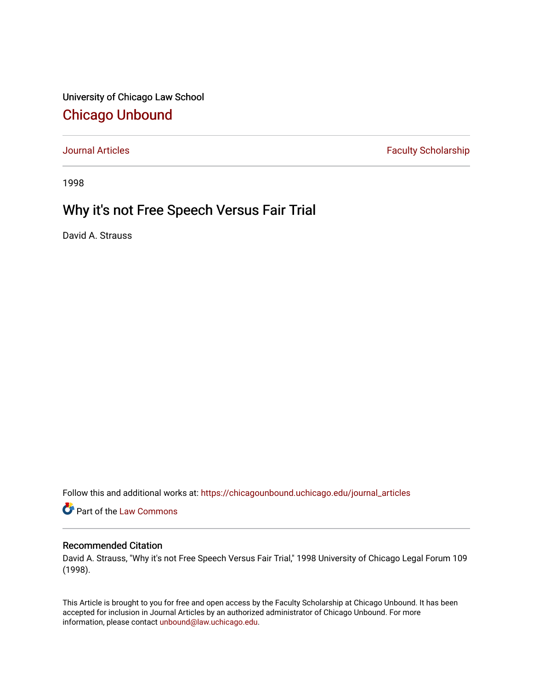University of Chicago Law School [Chicago Unbound](https://chicagounbound.uchicago.edu/)

[Journal Articles](https://chicagounbound.uchicago.edu/journal_articles) **Faculty Scholarship Faculty Scholarship** 

1998

# Why it's not Free Speech Versus Fair Trial

David A. Strauss

Follow this and additional works at: [https://chicagounbound.uchicago.edu/journal\\_articles](https://chicagounbound.uchicago.edu/journal_articles?utm_source=chicagounbound.uchicago.edu%2Fjournal_articles%2F1996&utm_medium=PDF&utm_campaign=PDFCoverPages) 

Part of the [Law Commons](http://network.bepress.com/hgg/discipline/578?utm_source=chicagounbound.uchicago.edu%2Fjournal_articles%2F1996&utm_medium=PDF&utm_campaign=PDFCoverPages)

#### Recommended Citation

David A. Strauss, "Why it's not Free Speech Versus Fair Trial," 1998 University of Chicago Legal Forum 109 (1998).

This Article is brought to you for free and open access by the Faculty Scholarship at Chicago Unbound. It has been accepted for inclusion in Journal Articles by an authorized administrator of Chicago Unbound. For more information, please contact [unbound@law.uchicago.edu](mailto:unbound@law.uchicago.edu).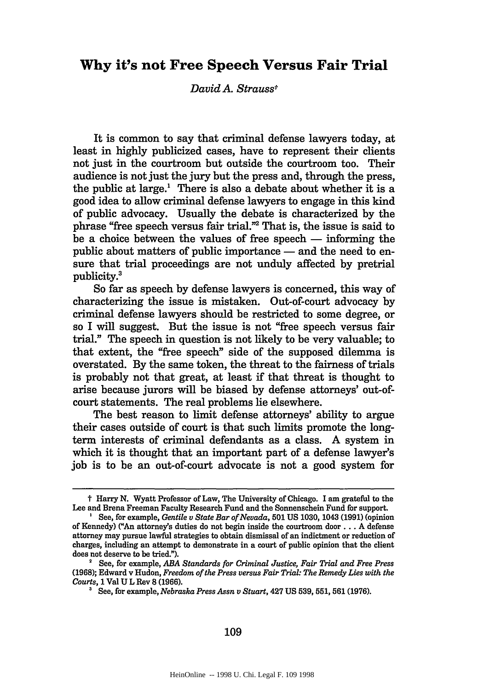## **Why it's not Free Speech Versus Fair Trial**

#### *David A. Strausst*

It is common to say that criminal defense lawyers today, at least in highly publicized cases, have to represent their clients not just in the courtroom but outside the courtroom too. Their audience is not just the jury but the press and, through the press, the public at large.<sup>1</sup> There is also a debate about whether it is a good idea to allow criminal defense lawyers to engage in this kind of public advocacy. Usually the debate is characterized by the phrase "free speech versus fair trial."<sup>2</sup> That is, the issue is said to be a choice between the values of free speech  $-$  informing the public about matters of public importance  $-$  and the need to ensure that trial proceedings are not unduly affected by pretrial publicity.'

So far as speech by defense lawyers is concerned, this way of characterizing the issue is mistaken. Out-of-court advocacy by criminal defense lawyers should be restricted to some degree, or so I will suggest. But the issue is not "free speech versus fair trial." The speech in question is not likely to be very valuable; to that extent, the "free speech" side of the supposed dilemma is overstated. By the same token, the threat to the fairness of trials is probably not that great, at least if that threat is thought to arise because jurors will be biased by defense attorneys' out-ofcourt statements. The real problems lie elsewhere.

The best reason to limit defense attorneys' ability to argue their cases outside of court is that such limits promote the longterm interests of criminal defendants as a class. A system in which it is thought that an important part of a defense lawyer's job is to be an out-of-court advocate is not a good system for

t Harry **N.** Wyatt Professor of Law, The University of Chicago. I am grateful to the Lee and Brena Freeman Faculty Research Fund and the Sonnenschein **Fund** for support.

See, for example, *Gentile v State Bar of Nevada,* **501 US 1030,** 1043 **(1991)** (opinion of Kennedy) ("An attorney's duties do not begin inside the courtroom **door... A** defense attorney may pursue lawful strategies to obtain dismissal of an indictment or reduction of charges, including an attempt to demonstrate in a court of public opinion that the client does not deserve to be tried.").

**<sup>2</sup>**See, for example, *ABA Standards for Criminal Justice, Fair Trial and Free Press* **(1968);** Edward v Hudon, *Freedom of the Press versus Fair Trial: The Remedy Lies with the Courts,* **1** Val **U** L Rev **8 (1966).**

**<sup>&#</sup>x27;** See, for example, *Nebraska Press Assn v Stuart,* 427 **US 539, 551, 561 (1976).**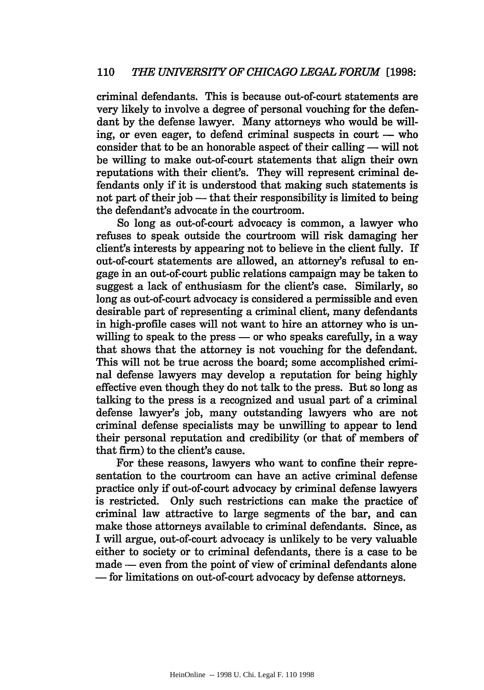criminal defendants. This is because out-of-court statements are very likely to involve a degree of personal vouching for the defendant by the defense lawyer. Many attorneys who would be willing, or even eager, to defend criminal suspects in court  $-$  who consider that to be an honorable aspect of their calling  $-$  will not be willing to make out-of-court statements that align their own reputations with their client's. They will represent criminal defendants only if it is understood that making such statements is not part of their job — that their responsibility is limited to being the defendant's advocate in the courtroom.

So long as out-of-court advocacy is common, a lawyer who refuses to speak outside the courtroom will risk damaging her client's interests by appearing not to believe in the client fully. If out-of-court statements are allowed, an attorney's refusal to engage in an out-of-court public relations campaign may be taken to suggest a lack of enthusiasm for the client's case. Similarly, so long as out-of-court advocacy is considered a permissible and even desirable part of representing a criminal client, many defendants in high-profile cases will not want to hire an attorney who is unwilling to speak to the press  $-$  or who speaks carefully, in a way that shows that the attorney is not vouching for the defendant. This will not be true across the board; some accomplished criminal defense lawyers may develop a reputation for being highly effective even though they do not talk to the press. But so long as talking to the press is a recognized and usual part of a criminal defense lawyer's job, many outstanding lawyers who are not criminal defense specialists may be unwilling to appear to lend their personal reputation and credibility (or that of members of that firm) to the client's cause.

For these reasons, lawyers who want to confine their representation to the courtroom can have an active criminal defense practice only if out-of-court advocacy by criminal defense lawyers is restricted. Only such restrictions can make the practice of criminal law attractive to large segments of the bar, and can make those attorneys available to criminal defendants. Since, as I will argue, out-of-court advocacy is unlikely to be very valuable either to society or to criminal defendants, there is a case to be made – even from the point of view of criminal defendants alone **-** for limitations on out-of-court advocacy by defense attorneys.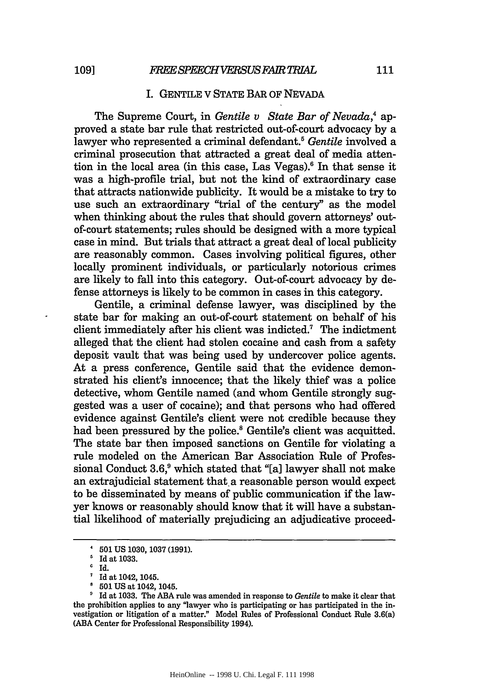#### I. GENTILE V STATE BAR OF NEVADA

The Supreme Court, in *Gentile v State Bar of Nevada,4* approved a state bar rule that restricted out-of-court advocacy by a lawyer who represented a criminal defendant.<sup>5</sup> Gentile involved a criminal prosecution that attracted a great deal of media attention in the local area (in this case, Las Vegas).<sup>6</sup> In that sense it was a high-profile trial, but not the kind of extraordinary case that attracts nationwide publicity. It would be a mistake to try to use such an extraordinary "trial of the century" as the model when thinking about the rules that should govern attorneys' outof-court statements; rules should be designed with a more typical case in mind. But trials that attract a great deal of local publicity are reasonably common. Cases involving political figures, other locally prominent individuals, or particularly notorious crimes are likely to fall into this category. Out-of-court advocacy by defense attorneys is likely to be common in cases in this category.

Gentile, a criminal defense lawyer, was disciplined by the state bar for making an out-of-court statement on behalf of his client immediately after his client was indicted.7 The indictment alleged that the client had stolen cocaine and cash from a safety deposit vault that was being used by undercover police agents. At a press conference, Gentile said that the evidence demonstrated his client's innocence; that the likely thief was a police detective, whom Gentile named (and whom Gentile strongly suggested was a user of cocaine); and that persons who had offered evidence against Gentile's client were not credible because they had been pressured by the police.<sup>8</sup> Gentile's client was acquitted. The state bar then imposed sanctions on Gentile for violating a rule modeled on the American Bar Association Rule of Professional Conduct  $3.6$ ,<sup>9</sup> which stated that "[a] lawyer shall not make an extrajudicial statement that a reasonable person would expect to be disseminated by means of public communication if the lawyer knows or reasonably should know that it will have a substantial likelihood of materially prejudicing an adjudicative proceed-

 $\bullet$ **501** US at 1042, 1045.

**<sup>501</sup>** US 1030, 1037 (1991).

 $<sup>5</sup>$  Id at 1033.</sup>

Id.

 $1042$ , 1045.

Id at 1033. The ABA rule was amended in response to *Gentile* to make it clear that the prohibition applies to any "lawyer who is participating or has participated in the investigation or litigation of a matter." Model Rules of Professional Conduct Rule 3.6(a) **(ABA** Center for Professional Responsibility 1994).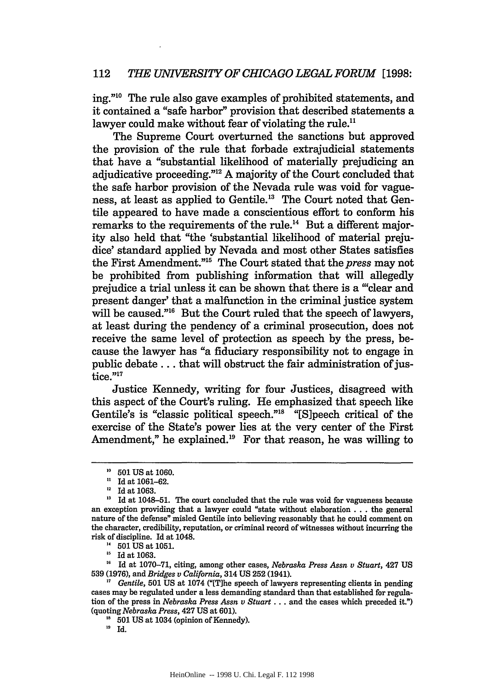ing."<sup>10</sup> The rule also gave examples of prohibited statements, and it contained a "safe harbor" provision that described statements a lawyer could make without fear of violating the rule.<sup>11</sup>

The Supreme Court overturned the sanctions but approved the provision of the rule that forbade extrajudicial statements that have a "substantial likelihood of materially prejudicing an adjudicative proceeding."<sup>12</sup> A majority of the Court concluded that the safe harbor provision of the Nevada rule was void for vagueness, at least as applied to Gentile.<sup>13</sup> The Court noted that Gentile appeared to have made a conscientious effort to conform his remarks to the requirements of the rule.<sup> $14$ </sup> But a different majority also held that "the 'substantial likelihood of material prejudice' standard applied by Nevada and most other States satisfies the First Amendment."" The Court stated that the *press* may not be prohibited from publishing information that will allegedly prejudice a trial unless it can be shown that there is a "'clear and present danger' that a malfunction in the criminal justice system will be caused."<sup>16</sup> But the Court ruled that the speech of lawyers, at least during the pendency of a criminal prosecution, does not receive the same level of protection as speech by the press, because the lawyer has "a fiduciary responsibility not to engage in public debate.., that will obstruct the fair administration of jus $tice<sup>27</sup>$ 

Justice Kennedy, writing for four Justices, disagreed with this aspect of the Court's ruling. He emphasized that speech like Gentile's is "classic political speech."<sup>18</sup> "[S] peech critical of the exercise of the State's power lies at the very center of the First Amendment," he explained. $^{19}$  For that reason, he was willing to

 $^{15}$  Id at 1063.

**<sup>16</sup>**Id at 1070-71, citing, among other cases, *Nebraska Press Assn v Stuart,* 427 US **539** (1976), and *Bridges v California,* 314 US **252** (1941).

<sup>17</sup> *Gentile,* 501 US at 1074 ("[T]he speech of lawyers representing clients in pending cases may be regulated under a less demanding standard than that established for regulation of the press in *Nebraska Press Assn v Stuart ...* and the cases which preceded it.") (quoting *Nebraska Press,* 427 US at 601).

<sup>18</sup> 501 US at 1034 (opinion of Kennedy).<br><sup>19</sup> Id

**<sup>&#</sup>x27;o** 501 US at 1060.

 $^{11}$  Id at 1061-62.

**<sup>,2</sup>** Id at 1063.

**<sup>&#</sup>x27;3** Id at 1048-51. The court concluded that the rule was void for vagueness because an exception providing that a lawyer could "state without elaboration.., the general nature of the defense" misled Gentile into believing reasonably that he could comment on the character, credibility, reputation, or criminal record of witnesses without incurring the risk of discipline. Id at 1048.

**<sup>501</sup>** US at 1051.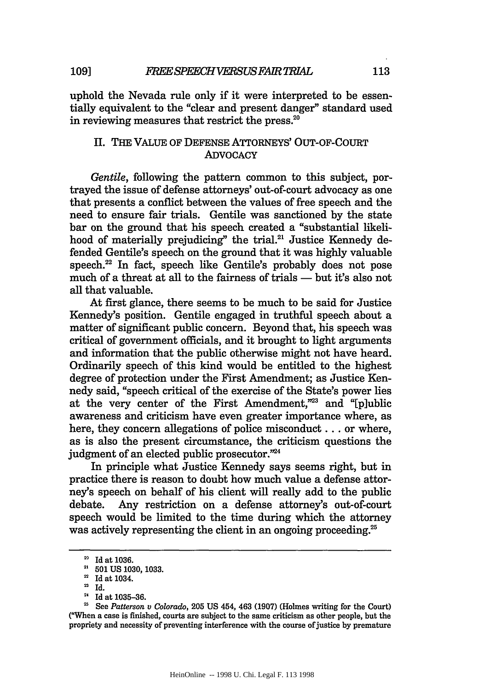**109] FREE SPEECH VERSUS FAIR TRIAL** 113

uphold the Nevada rule only if it were interpreted to be essentially equivalent to the "clear and present danger" standard used in reviewing measures that restrict the press.<sup>20</sup>

#### II. THE VALUE OF DEFENSE ATTORNEYS' OUT-OF-COURT **ADVOCACY**

*Gentile,* following the pattern common to this subject, portrayed the issue of defense attorneys' out-of-court advocacy as one that presents a conflict between the values of free speech and the need to ensure fair trials. Gentile was sanctioned by the state bar on the ground that his speech created a "substantial likelihood of materially prejudicing" the trial.<sup>21</sup> Justice Kennedy defended Gentile's speech on the ground that it was highly valuable speech. $22$  In fact, speech like Gentile's probably does not pose much of a threat at all to the fairness of trials **-** but it's also not all that valuable.

At first glance, there seems to be much to be said for Justice Kennedy's position. Gentile engaged in truthful speech about a matter of significant public concern. Beyond that, his speech was critical of government officials, and it brought to light arguments and information that the public otherwise might not have heard. Ordinarily speech of this kind would be entitled to the highest degree of protection under the First Amendment; as Justice Kennedy said, "speech critical of the exercise of the State's power lies at the very center of the First Amendment,"23 and "[p]ublic awareness and criticism have even greater importance where, as here, they concern allegations of police misconduct.., or where, as is also the present circumstance, the criticism questions the judgment of an elected public prosecutor."24

In principle what Justice Kennedy says seems right, but in practice there is reason to doubt how much value a defense attorney's speech on behalf of his client will really add to the public debate. Any restriction on a defense attorney's out-of-court speech would be limited to the time during which the attorney was actively representing the client in an ongoing proceeding.<sup>25</sup>

 $20$  Id at 1036.

<sup>,</sup> **501 US** 1030, 1033.

 $22$  Id at 1034.

<sup>&</sup>lt;sup>23</sup> Id.

 $^{24}$  Id at 1035-36.

See *Patterson v Colorado,* **205** US 454, 463 (1907) (Holmes writing for the Court) ("When a case is finished, courts are subject to the same criticism as other people, but the propriety and necessity of preventing interference with the course of justice by premature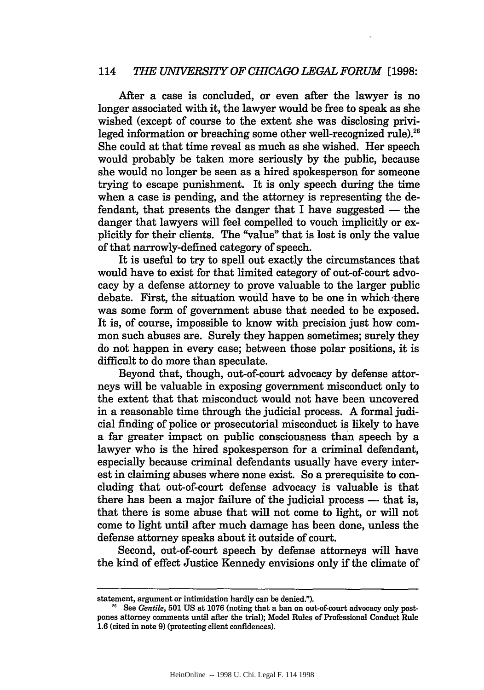#### 114 *THE UNIVERSITY OF CHICAGO LEGAL FORUM* [1998:

After a case is concluded, or even after the lawyer is no longer associated with it, the lawyer would be free to speak as she wished (except of course to the extent she was disclosing privileged information or breaching some other well-recognized rule).<sup>26</sup> She could at that time reveal as much as she wished. Her speech would probably be taken more seriously by the public, because she would no longer be seen as a hired spokesperson for someone trying to escape punishment. It is only speech during the time when a case is pending, and the attorney is representing the defendant, that presents the danger that I have suggested  $-$  the danger that lawyers will feel compelled to vouch implicitly or explicitly for their clients. The "value" that is lost is only the value of that narrowly-defined category of speech.

It is useful to try to spell out exactly the circumstances that would have to exist for that limited category of out-of-court advocacy by a defense attorney to prove valuable to the larger public debate. First, the situation would have to be one in which there was some form of government abuse that needed to be exposed. It is, of course, impossible to know with precision just how common such abuses are. Surely they happen sometimes; surely they do not happen in every case; between those polar positions, it is difficult to do more than speculate.

Beyond that, though, out-of-court advocacy by defense attorneys will be valuable in exposing government misconduct only to the extent that that misconduct would not have been uncovered in a reasonable time through the judicial process. A formal judicial finding of police or prosecutorial misconduct is likely to have a far greater impact on public consciousness than speech by a lawyer who is the hired spokesperson for a criminal defendant, especially because criminal defendants usually have every interest in claiming abuses where none exist. So a prerequisite to concluding that out-of-court defense advocacy is valuable is that there has been a major failure of the judicial process  $-$  that is, that there is some abuse that will not come to light, or will not come to light until after much damage has been done, unless the defense attorney speaks about it outside of court.

Second, out-of-court speech by defense attorneys will have the kind of effect Justice Kennedy envisions only if the climate of

statement, argument or intimidation hardly can be denied.").

<sup>&</sup>lt;sup>25</sup> See *Gentile*, 501 US at 1076 (noting that a ban on out-of-court advocacy only postpones attorney comments until after the trial); Model Rules of Professional Conduct Rule **1.6** (cited in note **9)** (protecting client confidences).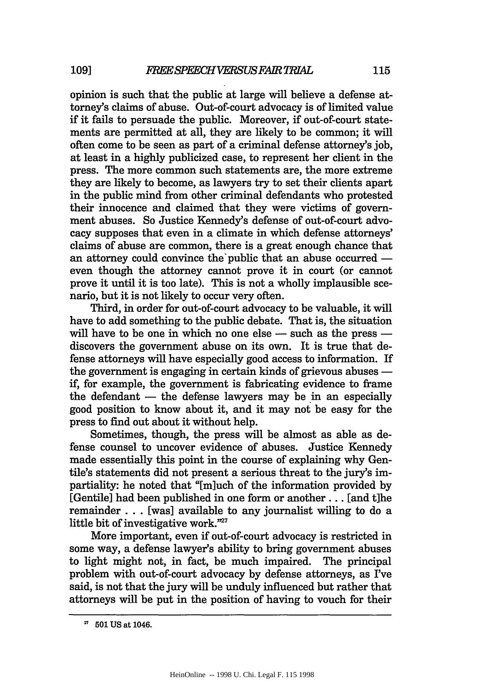opinion is such that the public at large will believe a defense attorney's claims of abuse. Out-of-court advocacy is of limited value if it fails to persuade the public. Moreover, if out-of-court statements are permitted at all, they are likely to be common; it will often come to be seen as part of a criminal defense attorney's job, at least in a highly publicized case, to represent her client in the press. The more common such statements are, the more extreme they are likely to become, as lawyers try to set their clients apart in the public mind from other criminal defendants who protested their innocence and claimed that they were victims of government abuses. So Justice Kennedy's defense of out-of-court advocacy supposes that even in a climate in which defense attorneys' claims of abuse are common, there is a great enough chance that an attorney could convince the public that an abuse occurred even though the attorney cannot prove it in court (or cannot prove it until it is too late). This is not a wholly implausible scenario, but it is not likely to occur very often.

Third, in order for out-of-court advocacy to be valuable, it will have to add something to the public debate. That is, the situation will have to be one in which no one else - such as the press discovers the government abuse on its own. It is true that defense attorneys will have especially good access to information. If the government is engaging in certain kinds of grievous abuses  if, for example, the government is fabricating evidence to frame the defendant  $-$  the defense lawyers may be in an especially good position to know about it, and it may not be easy for the press to find out about it without help.

Sometimes, though, the press will be almost as able as defense counsel to uncover evidence of abuses. Justice Kennedy made essentially this point in the course of explaining why Gentile's statements did not present a serious threat to the jury's impartiality: he noted that "[miuch of the information provided by [Gentile] had been published in one form or another... [and t]he remainder... [was] available to any journalist willing to do a little bit of investigative work."<sup>27</sup>

More important, even if out-of-court advocacy is restricted in some way, a defense lawyer's ability to bring government abuses to light might not, in fact, be much impaired. The principal problem with out-of-court advocacy by defense attorneys, as I've said, is not that the jury will be unduly influenced but rather that attorneys will be put in the position of having to vouch for their

**<sup>&#</sup>x27; 501** US at 1046.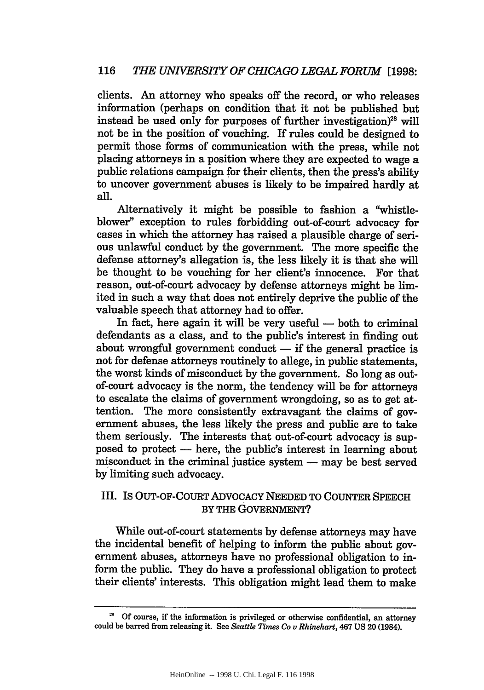clients. An attorney who speaks off the record, or who releases information (perhaps on condition that it not be published but instead be used only for purposes of further investigation)<sup>28</sup> will not be in the position of vouching. If rules could be designed to permit those forms of communication with the press, while not placing attorneys in a position where they are expected to wage a public relations campaign for their clients, then the press's ability to uncover government abuses is likely to be impaired hardly at all.

Alternatively it might be possible to fashion a "whistleblower" exception to rules forbidding out-of-court advocacy for cases in which the attorney has raised a plausible charge of serious unlawful conduct by the government. The more specific the defense attorney's allegation is, the less likely it is that she will be thought to be vouching for her client's innocence. For that reason, out-of-court advocacy by defense attorneys might be limited in such a way that does not entirely deprive the public of the valuable speech that attorney had to offer.

In fact, here again it will be very useful **-** both to criminal defendants as a class, and to the public's interest in finding out about wrongful government conduct  $-$  if the general practice is not for defense attorneys routinely to allege, in public statements, the worst kinds of misconduct by the government. So long as outof-court advocacy is the norm, the tendency will be for attorneys to escalate the claims of government wrongdoing, so as to get attention. The more consistently extravagant the claims of government abuses, the less likely the press and public are to take them seriously. The interests that out-of-court advocacy is supposed to protect  $-$  here, the public's interest in learning about misconduct in the criminal justice system — may be best served by limiting such advocacy.

### III. Is OUT-OF-COURT ADVOCACY NEEDED TO COUNTER SPEECH BY THE GOVERNMENT?

While out-of-court statements by defense attorneys may have the incidental benefit of helping to inform the public about government abuses, attorneys have no professional obligation to inform the public. They do have a professional obligation to protect their clients' interests. This obligation might lead them to make

Of course, if the information is privileged or otherwise confidential, an attorney could be barred from releasing it. See *Seattle Times Co v Rhinehart,* 467 **US** 20 (1984).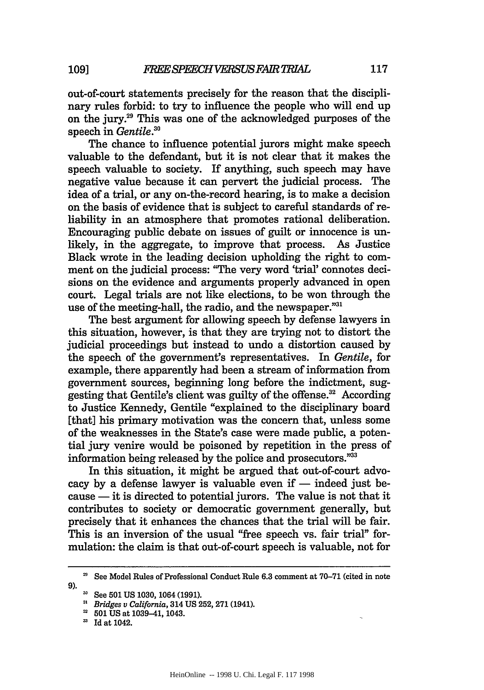out-of-court statements precisely for the reason that the disciplinary rules forbid: to try to influence the people who will end up on the jury.29 This was one of the acknowledged purposes of the speech in *Gentile."*

The chance to influence potential jurors might make speech valuable to the defendant, but it is not clear that it makes the speech valuable to society. If anything, such speech may have negative value because it can pervert the judicial process. The idea of a trial, or any on-the-record hearing, is to make a decision on the basis of evidence that is subject to careful standards of reliability in an atmosphere that promotes rational deliberation. Encouraging public debate on issues of guilt or innocence is unlikely, in the aggregate, to improve that process. As Justice Black wrote in the leading decision upholding the right to comment on the judicial process: "The very word 'trial' connotes decisions on the evidence and arguments properly advanced in open court. Legal trials are not like elections, to be won through the use of the meeting-hall, the radio, and the newspaper."31

The best argument for allowing speech **by** defense lawyers in this situation, however, is that they are trying not to distort the judicial proceedings but instead to undo a distortion caused **by** the speech of the government's representatives. In *Gentile,* for example, there apparently had been a stream of information from government sources, beginning long before the indictment, suggesting that Gentile's client was guilty of the offense. 32 According to Justice Kennedy, Gentile "explained to the disciplinary board [that] his primary motivation was the concern that, unless some of the weaknesses in the State's case were made public, a potential jury venire would be poisoned **by** repetition in the press of information being released **by** the police and prosecutors."33

In this situation, it might be argued that out-of-court advocacy by a defense lawyer is valuable even if — indeed just because **-** it is directed to potential jurors. The value is not that it contributes to society or democratic government generally, but precisely that it enhances the chances that the trial will be fair. This is an inversion of the usual "free speech vs. fair trial" formulation: the claim is that out-of-court speech is valuable, not for

See Model Rules of Professional Conduct Rule **6.3** comment at **70-71** (cited in note **9).**

See **501 US 1030,** 1064 **(1991).**

*Bridges v California,* 314 **US 252, 271** (1941).

**<sup>501</sup> US** at 1039-41, 1043.

**Id** at 1042.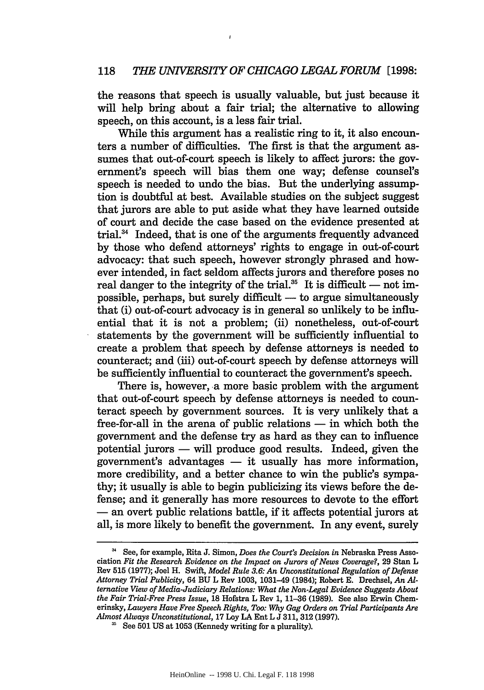$\mathbf{I}$ 

the reasons that speech is usually valuable, but just because it will help bring about a fair trial; the alternative to allowing speech, on this account, is a less fair trial.

While this argument has a realistic ring to it, it also encounters a number of difficulties. The first is that the argument assumes that out-of-court speech is likely to affect jurors: the government's speech will bias them one way; defense counsel's speech is needed to undo the bias. But the underlying assumption is doubtful at best. Available studies on the subject suggest that jurors are able to put aside what they have learned outside of court and decide the case based on the evidence presented at trial.34 Indeed, that is one of the arguments frequently advanced by those who defend attorneys' rights to engage in out-of-court advocacy: that such speech, however strongly phrased and however intended, in fact seldom affects jurors and therefore poses no real danger to the integrity of the trial.<sup>35</sup> It is difficult  $-$  not impossible, perhaps, but surely difficult **-** to argue simultaneously that (i) out-of-court advocacy is in general so unlikely to be influential that it is not a problem; (ii) nonetheless, out-of-court statements by the government will be sufficiently influential to create a problem that speech by defense attorneys is needed to counteract; and (iii) out-of-court speech by defense attorneys will be sufficiently influential to counteract the government's speech.

There is, however, a more basic problem with the argument that out-of-court speech by defense attorneys is needed to counteract speech by government sources. It is very unlikely that a free-for-all in the arena of public relations  $-$  in which both the government and the defense try as hard as they can to influence potential jurors  $-$  will produce good results. Indeed, given the  $goverment's$  advantages  $-$  it usually has more information, more credibility, and a better chance to win the public's sympathy; it usually is able to begin publicizing its views before the defense; and it generally has more resources to devote to the effort - an overt public relations battle, **if** it affects potential jurors at all, is more likely to benefit the government. In any event, surely

See, for example, Rita J. Simon, *Does the Court's Decision in* Nebraska Press Association *Fit the Research Evidence on the Impact on Jurors of News Coverage?,* 29 Stan L Rev 515 (1977); Joel H. Swift, *Model Rule 3.6: An Unconstitutional Regulation of Defense Attorney Trial Publicity,* 64 BU L Rev 1003, 1031-49 (1984); Robert E. Drechsel, *An Alternative View of Media-Judiciary Relations: What the Non-Legal Evidence Suggests About the Fair Trial-Free Press Issue,* 18 Hofstra L Rev 1, 11-36 (1989). See also Erwin Chemerinsky, *Lawyers Have Free Speech Rights, Too: Why Gag Orders on Trial Participants Are Almost Always Unconstitutional,* 17 Loy LA Ent L J 311, 312 (1997).

**<sup>&#</sup>x27;** See 501 US at 1053 (Kennedy writing for a plurality).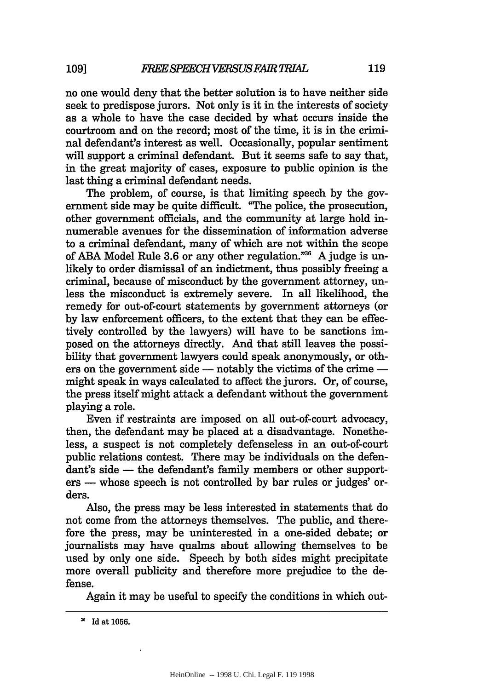no one would deny that the better solution is to have neither side seek to predispose jurors. Not only is it in the interests of society as a whole to have the case decided by what occurs inside the courtroom and on the record; most of the time, it is in the criminal defendant's interest as well. Occasionally, popular sentiment will support a criminal defendant. But it seems safe to say that, in the great majority of cases, exposure to public opinion is the last thing a criminal defendant needs.

The problem, of course, is that limiting speech by the govermnent side may be quite difficult. "The police, the prosecution, other government officials, and the community at large hold innumerable avenues for the dissemination of information adverse to a criminal defendant, many of which are not within the scope of ABA Model Rule 3.6 or any other regulation."<sup>36</sup> A judge is unlikely to order dismissal of an indictment, thus possibly freeing a criminal, because of misconduct by the government attorney, unless the misconduct is extremely severe. In all likelihood, the remedy for out-of-court statements by government attorneys (or by law enforcement officers, to the extent that they can be effectively controlled by the lawyers) will have to be sanctions imposed on the attorneys directly. And that still leaves the possibility that government lawyers could speak anonymously, or others on the government side  $-$  notably the victims of the crime  $$ might speak in ways calculated to affect the jurors. Or, of course, the press itself might attack a defendant without the government playing a role.

Even if restraints are imposed on all out-of-court advocacy, then, the defendant may be placed at a disadvantage. Nonetheless, a suspect is not completely defenseless in an out-of-court public relations contest. There may be individuals on the defendant's side - the defendant's family members or other supporters — whose speech is not controlled by bar rules or judges' orders.

Also, the press may be less interested in statements that do not come from the attorneys themselves. The public, and therefore the press, may be uninterested in a one-sided debate; or journalists may have qualms about allowing themselves to be used by only one side. Speech by both sides might precipitate more overall publicity and therefore more prejudice to the defense.

Again it may be useful to specify the conditions in which out-

Id at **1056.**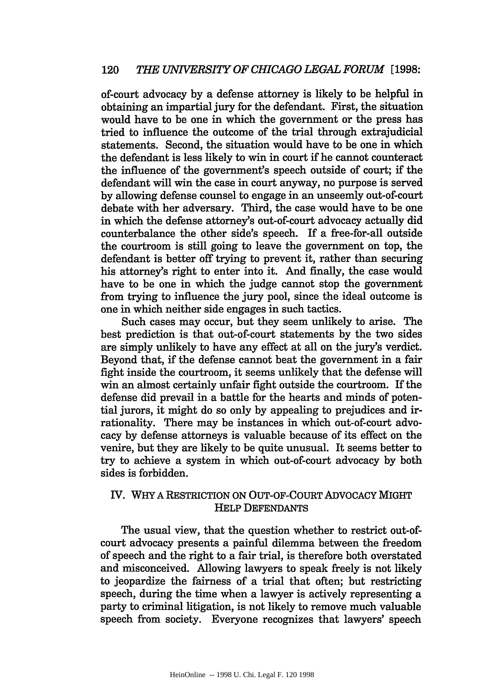of-court advocacy by a defense attorney is likely to be helpful in obtaining an impartial jury for the defendant. First, the situation would have to be one in which the government or the press has tried to influence the outcome of the trial through extrajudicial statements. Second, the situation would have to be one in which the defendant is less likely to win in court if he cannot counteract the influence of the government's speech outside of court; if the defendant will win the case in court anyway, no purpose is served by allowing defense counsel to engage in an unseemly out-of-court debate with her adversary. Third, the case would have to be one in which the defense attorney's out-of-court advocacy actually did counterbalance the other side's speech. If a free-for-all outside the courtroom is still going to leave the government on top, the defendant is better off trying to prevent it, rather than securing his attorney's right to enter into it. And finally, the case would have to be one in which the judge cannot stop the government from trying to influence the jury pool, since the ideal outcome is one in which neither side engages in such tactics.

Such cases may occur, but they seem unlikely to arise. The best prediction is that out-of-court statements by the two sides are simply unlikely to have any effect at all on the jury's verdict. Beyond that, if the defense cannot beat the government in a fair fight inside the courtroom, it seems unlikely that the defense will win an almost certainly unfair fight outside the courtroom. If the defense did prevail in a battle for the hearts and minds of potential jurors, it might do so only by appealing to prejudices and irrationality. There may be instances in which out-of-court advocacy by defense attorneys is valuable because of its effect on the venire, but they are likely to be quite unusual. It seems better to try to achieve a system in which out-of-court advocacy by both sides is forbidden.

### IV. WHY A RESTRICTION ON OUT-OF-COuRT ADVOCACY MIGHT HELP DEFENDANTS

The usual view, that the question whether to restrict out-ofcourt advocacy presents a painful dilemma between the freedom of speech and the right to a fair trial, is therefore both overstated and misconceived. Allowing lawyers to speak freely is not likely to jeopardize the fairness of a trial that often; but restricting speech, during the time when a lawyer is actively representing a party to criminal litigation, is not likely to remove much valuable speech from society. Everyone recognizes that lawyers' speech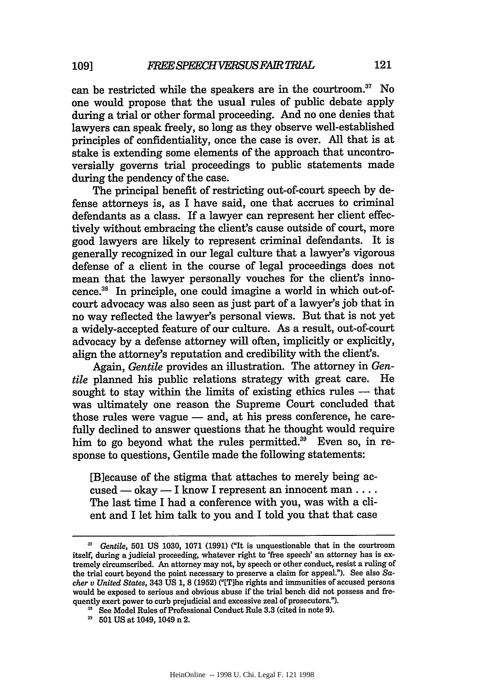can be restricted while the speakers are in the courtroom.<sup>37</sup> No one would propose that the usual rules of public debate apply during a trial or other formal proceeding. And no one denies that lawyers can speak freely, so long as they observe well-established principles of confidentiality, once the case is over. **All** that is at stake is extending some elements of the approach that uncontroversially governs trial proceedings to public statements made during the pendency of the case.

The principal benefit of restricting out-of-court speech **by** defense attorneys is, as I have said, one that accrues to criminal defendants as a class. If a lawyer can represent her client effectively without embracing the client's cause outside of court, more good lawyers are likely to represent criminal defendants. It is generally recognized in our legal culture that a lawyer's vigorous defense of a client in the course of legal proceedings does not mean that the lawyer personally vouches for the client's innocence.38 In principle, one could imagine a world in which out-ofcourt advocacy was also seen as just part of a lawyer's **job** that in no way reflected the lawyer's personal views. But that is not yet a widely-accepted feature of our culture. As a result, out-of-court advocacy **by** a defense attorney will often, implicitly or explicitly, align the attorney's reputation and credibility with the client's.

Again, *Gentile* provides an illustration. The attorney in Gen*tile* planned his public relations strategy with great care. He sought to stay within the limits of existing ethics rules  $-$  that was ultimately one reason the Supreme Court concluded that those rules were vague  $-$  and, at his press conference, he carefully declined to answer questions that he thought would require him to go beyond what the rules permitted.<sup>39</sup> Even so, in response to questions, Gentile made the following statements:

[B]ecause of the stigma that attaches to merely being accused **-** okay **-** I know I represent an innocent man .... The last time I had a conference with you, was with a client and I let him talk to you and I told you that that case

<sup>37</sup> *Gentile,* **501 US 1030, 1071 (1991)** ("It is unquestionable that in the courtroom itself, during a judicial proceeding, whatever right to 'free speech' an attorney has is extremely circumscribed. An attorney may not, **by** speech or other conduct, resist a ruling of the trial court beyond the point necessary to preserve a claim for appeal."). See also Sa*cher v United States,* 343 **US 1, 8 (1952)** ("[Tlhe rights and immunities of accused persons would be exposed to serious and obvious abuse if the trial bench did not possess and frequently exert power to curb prejudicial and excessive zeal of prosecutors.").

See Model Rules of Professional Conduct Rule **3.3** (cited in note **9).**

**<sup>501</sup>** USat 1049, 1049 **n2.**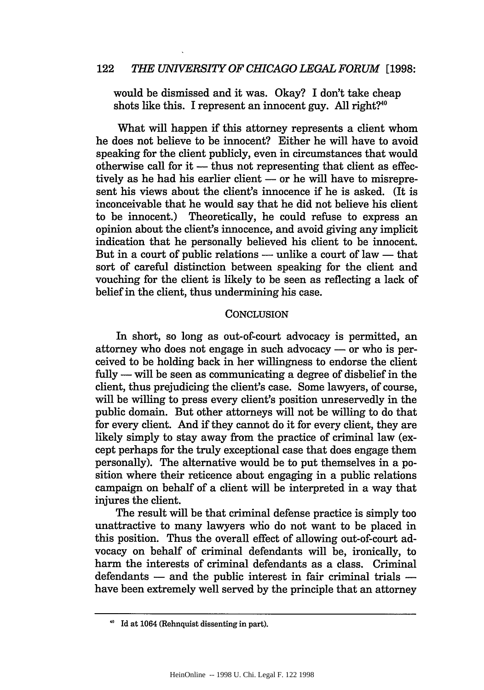would be dismissed and it was. Okay? I don't take cheap shots like this. I represent an innocent guy. All right?<sup>40</sup>

What will happen if this attorney represents a client whom he does not believe to be innocent? Either he will have to avoid speaking for the client publicly, even in circumstances that would otherwise call for it  $-$  thus not representing that client as effectively as he had his earlier client - or he will have to misrepresent his views about the client's innocence if he is asked. (It is inconceivable that he would say that he did not believe his client to be innocent.) Theoretically, he could refuse to express an opinion about the client's innocence, and avoid giving any implicit indication that he personally believed his client to be innocent. But in a court of public relations – unlike a court of law – that sort of careful distinction between speaking for the client and vouching for the client is likely to be seen as reflecting a lack of belief in the client, thus undermining his case.

#### **CONCLUSION**

In short, so long as out-of-court advocacy is permitted, an attorney who does not engage in such advocacy  $-$  or who is perceived to be holding back in her willingness to endorse the client fully — will be seen as communicating a degree of disbelief in the client, thus prejudicing the client's case. Some lawyers, of course, will be willing to press every client's position unreservedly in the public domain. But other attorneys will not be willing to do that for every client. And if they cannot do it for every client, they are likely simply to stay away from the practice of criminal law (except perhaps for the truly exceptional case that does engage them personally). The alternative would be to put themselves in a position where their reticence about engaging in a public relations campaign on behalf of a client will be interpreted in a way that injures the client.

The result will be that criminal defense practice is simply too unattractive to many lawyers who do not want to be placed in this position. Thus the overall effect of allowing out-of-court advocacy on behalf of criminal defendants will be, ironically, to harm the interests of criminal defendants as a class. Criminal defendants **-** and the public interest in fair criminal trials  have been extremely well served by the principle that an attorney

**o Id** at 1064 (Rehnquist dissenting in part).